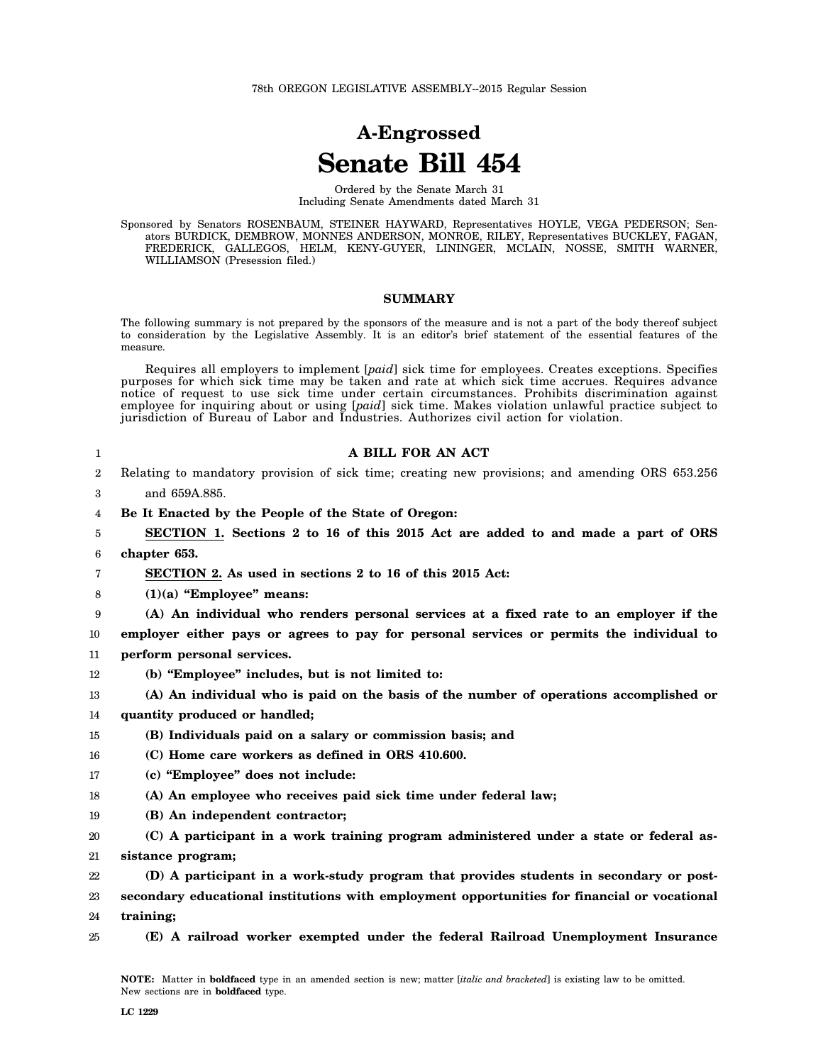# **A-Engrossed Senate Bill 454**

Ordered by the Senate March 31 Including Senate Amendments dated March 31

Sponsored by Senators ROSENBAUM, STEINER HAYWARD, Representatives HOYLE, VEGA PEDERSON; Senators BURDICK, DEMBROW, MONNES ANDERSON, MONROE, RILEY, Representatives BUCKLEY, FAGAN, FREDERICK, GALLEGOS, HELM, KENY-GUYER, LININGER, MCLAIN, NOSSE, SMITH WARNER, WILLIAMSON (Presession filed.)

#### **SUMMARY**

The following summary is not prepared by the sponsors of the measure and is not a part of the body thereof subject to consideration by the Legislative Assembly. It is an editor's brief statement of the essential features of the measure.

Requires all employers to implement [*paid*] sick time for employees. Creates exceptions. Specifies purposes for which sick time may be taken and rate at which sick time accrues. Requires advance notice of request to use sick time under certain circumstances. Prohibits discrimination against employee for inquiring about or using [*paid*] sick time. Makes violation unlawful practice subject to jurisdiction of Bureau of Labor and Industries. Authorizes civil action for violation.

| 1  | A BILL FOR AN ACT                                                                               |
|----|-------------------------------------------------------------------------------------------------|
| 2  | Relating to mandatory provision of sick time; creating new provisions; and amending ORS 653.256 |
| 3  | and 659A.885.                                                                                   |
| 4  | Be It Enacted by the People of the State of Oregon:                                             |
| 5  | SECTION 1. Sections 2 to 16 of this 2015 Act are added to and made a part of ORS                |
| 6  | chapter 653.                                                                                    |
| 7  | SECTION 2. As used in sections 2 to 16 of this 2015 Act:                                        |
| 8  | $(1)(a)$ "Employee" means:                                                                      |
| 9  | (A) An individual who renders personal services at a fixed rate to an employer if the           |
| 10 | employer either pays or agrees to pay for personal services or permits the individual to        |
| 11 | perform personal services.                                                                      |
| 12 | (b) "Employee" includes, but is not limited to:                                                 |
| 13 | (A) An individual who is paid on the basis of the number of operations accomplished or          |
| 14 | quantity produced or handled;                                                                   |
| 15 | (B) Individuals paid on a salary or commission basis; and                                       |
| 16 | (C) Home care workers as defined in ORS 410.600.                                                |
| 17 | (c) "Employee" does not include:                                                                |
| 18 | (A) An employee who receives paid sick time under federal law;                                  |
| 19 | (B) An independent contractor;                                                                  |
| 20 | (C) A participant in a work training program administered under a state or federal as-          |
| 21 | sistance program;                                                                               |
| 22 | (D) A participant in a work-study program that provides students in secondary or post-          |
| 23 | secondary educational institutions with employment opportunities for financial or vocational    |
| 24 | training:                                                                                       |
| 25 | (E) A railroad worker exempted under the federal Railroad Unemployment Insurance                |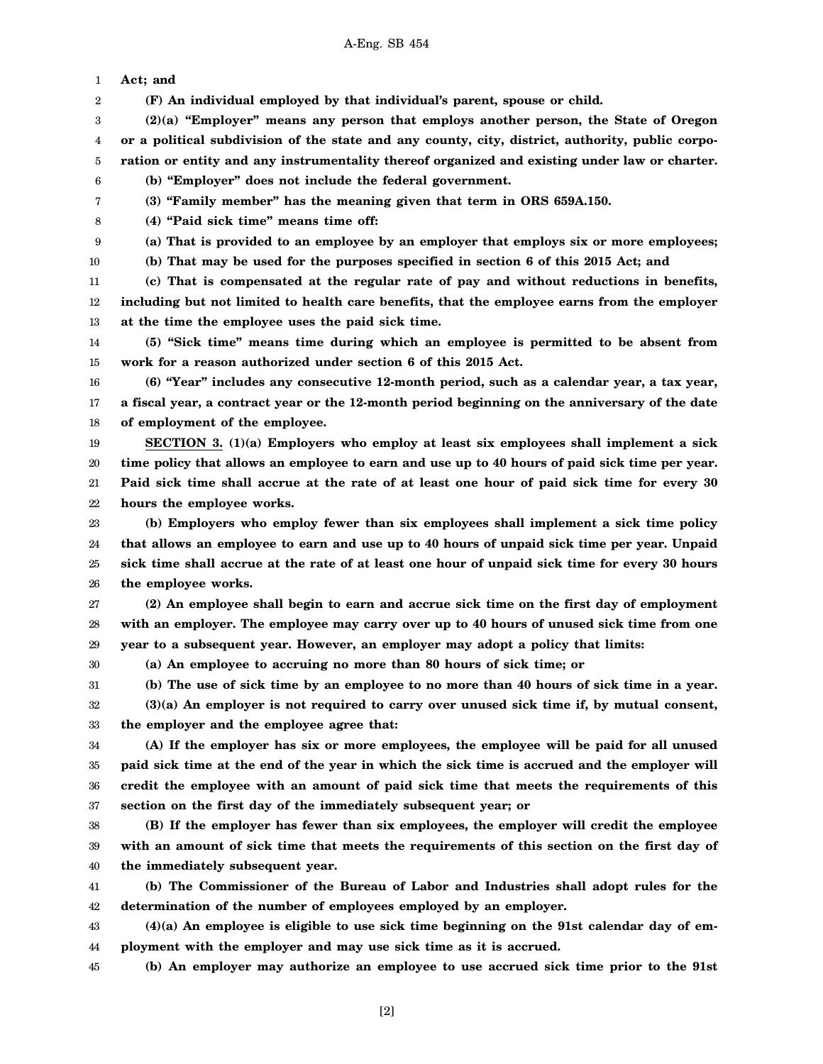1 **Act; and**

2 **(F) An individual employed by that individual's parent, spouse or child.**

3 4 5 **(2)(a) "Employer" means any person that employs another person, the State of Oregon or a political subdivision of the state and any county, city, district, authority, public corporation or entity and any instrumentality thereof organized and existing under law or charter.**

6 **(b) "Employer" does not include the federal government.**

7

**(3) "Family member" has the meaning given that term in ORS 659A.150.**

8 **(4) "Paid sick time" means time off:**

9 **(a) That is provided to an employee by an employer that employs six or more employees; (b) That may be used for the purposes specified in section 6 of this 2015 Act; and**

10

30

11 12 13 **(c) That is compensated at the regular rate of pay and without reductions in benefits, including but not limited to health care benefits, that the employee earns from the employer at the time the employee uses the paid sick time.**

14 15 **(5) "Sick time" means time during which an employee is permitted to be absent from work for a reason authorized under section 6 of this 2015 Act.**

16 17 18 **(6) "Year" includes any consecutive 12-month period, such as a calendar year, a tax year, a fiscal year, a contract year or the 12-month period beginning on the anniversary of the date of employment of the employee.**

19 20 21 22 **SECTION 3. (1)(a) Employers who employ at least six employees shall implement a sick time policy that allows an employee to earn and use up to 40 hours of paid sick time per year. Paid sick time shall accrue at the rate of at least one hour of paid sick time for every 30 hours the employee works.**

23 24 25 26 **(b) Employers who employ fewer than six employees shall implement a sick time policy that allows an employee to earn and use up to 40 hours of unpaid sick time per year. Unpaid sick time shall accrue at the rate of at least one hour of unpaid sick time for every 30 hours the employee works.**

27 28 29 **(2) An employee shall begin to earn and accrue sick time on the first day of employment with an employer. The employee may carry over up to 40 hours of unused sick time from one year to a subsequent year. However, an employer may adopt a policy that limits:**

**(a) An employee to accruing no more than 80 hours of sick time; or**

31 **(b) The use of sick time by an employee to no more than 40 hours of sick time in a year.**

32 33 **(3)(a) An employer is not required to carry over unused sick time if, by mutual consent, the employer and the employee agree that:**

34 35 36 37 **(A) If the employer has six or more employees, the employee will be paid for all unused paid sick time at the end of the year in which the sick time is accrued and the employer will credit the employee with an amount of paid sick time that meets the requirements of this section on the first day of the immediately subsequent year; or**

38 39 40 **(B) If the employer has fewer than six employees, the employer will credit the employee with an amount of sick time that meets the requirements of this section on the first day of the immediately subsequent year.**

41 42 **(b) The Commissioner of the Bureau of Labor and Industries shall adopt rules for the determination of the number of employees employed by an employer.**

43 44 **(4)(a) An employee is eligible to use sick time beginning on the 91st calendar day of employment with the employer and may use sick time as it is accrued.**

45 **(b) An employer may authorize an employee to use accrued sick time prior to the 91st**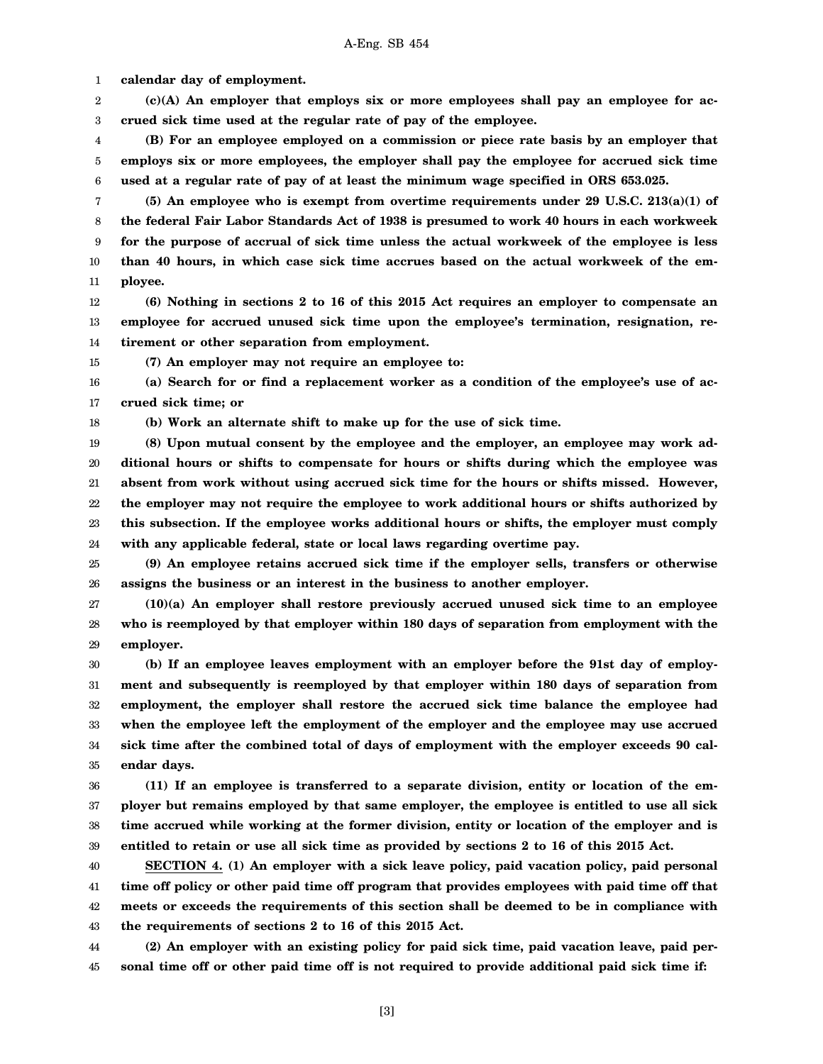1 **calendar day of employment.**

2 3 **(c)(A) An employer that employs six or more employees shall pay an employee for accrued sick time used at the regular rate of pay of the employee.**

4 5 6 **(B) For an employee employed on a commission or piece rate basis by an employer that employs six or more employees, the employer shall pay the employee for accrued sick time used at a regular rate of pay of at least the minimum wage specified in ORS 653.025.**

7 8 9 10 11 **(5) An employee who is exempt from overtime requirements under 29 U.S.C. 213(a)(1) of the federal Fair Labor Standards Act of 1938 is presumed to work 40 hours in each workweek for the purpose of accrual of sick time unless the actual workweek of the employee is less than 40 hours, in which case sick time accrues based on the actual workweek of the employee.**

12 13 14 **(6) Nothing in sections 2 to 16 of this 2015 Act requires an employer to compensate an employee for accrued unused sick time upon the employee's termination, resignation, retirement or other separation from employment.**

15 **(7) An employer may not require an employee to:**

16 17 **(a) Search for or find a replacement worker as a condition of the employee's use of accrued sick time; or**

18

**(b) Work an alternate shift to make up for the use of sick time.**

19 20 21 22 23 24 **(8) Upon mutual consent by the employee and the employer, an employee may work additional hours or shifts to compensate for hours or shifts during which the employee was absent from work without using accrued sick time for the hours or shifts missed. However, the employer may not require the employee to work additional hours or shifts authorized by this subsection. If the employee works additional hours or shifts, the employer must comply with any applicable federal, state or local laws regarding overtime pay.**

25 26 **(9) An employee retains accrued sick time if the employer sells, transfers or otherwise assigns the business or an interest in the business to another employer.**

27 28 29 **(10)(a) An employer shall restore previously accrued unused sick time to an employee who is reemployed by that employer within 180 days of separation from employment with the employer.**

30 31 32 33 34 35 **(b) If an employee leaves employment with an employer before the 91st day of employment and subsequently is reemployed by that employer within 180 days of separation from employment, the employer shall restore the accrued sick time balance the employee had when the employee left the employment of the employer and the employee may use accrued sick time after the combined total of days of employment with the employer exceeds 90 calendar days.**

36 37 38 39 **(11) If an employee is transferred to a separate division, entity or location of the employer but remains employed by that same employer, the employee is entitled to use all sick time accrued while working at the former division, entity or location of the employer and is entitled to retain or use all sick time as provided by sections 2 to 16 of this 2015 Act.**

40 41 42 43 **SECTION 4. (1) An employer with a sick leave policy, paid vacation policy, paid personal time off policy or other paid time off program that provides employees with paid time off that meets or exceeds the requirements of this section shall be deemed to be in compliance with the requirements of sections 2 to 16 of this 2015 Act.**

44 45 **(2) An employer with an existing policy for paid sick time, paid vacation leave, paid personal time off or other paid time off is not required to provide additional paid sick time if:**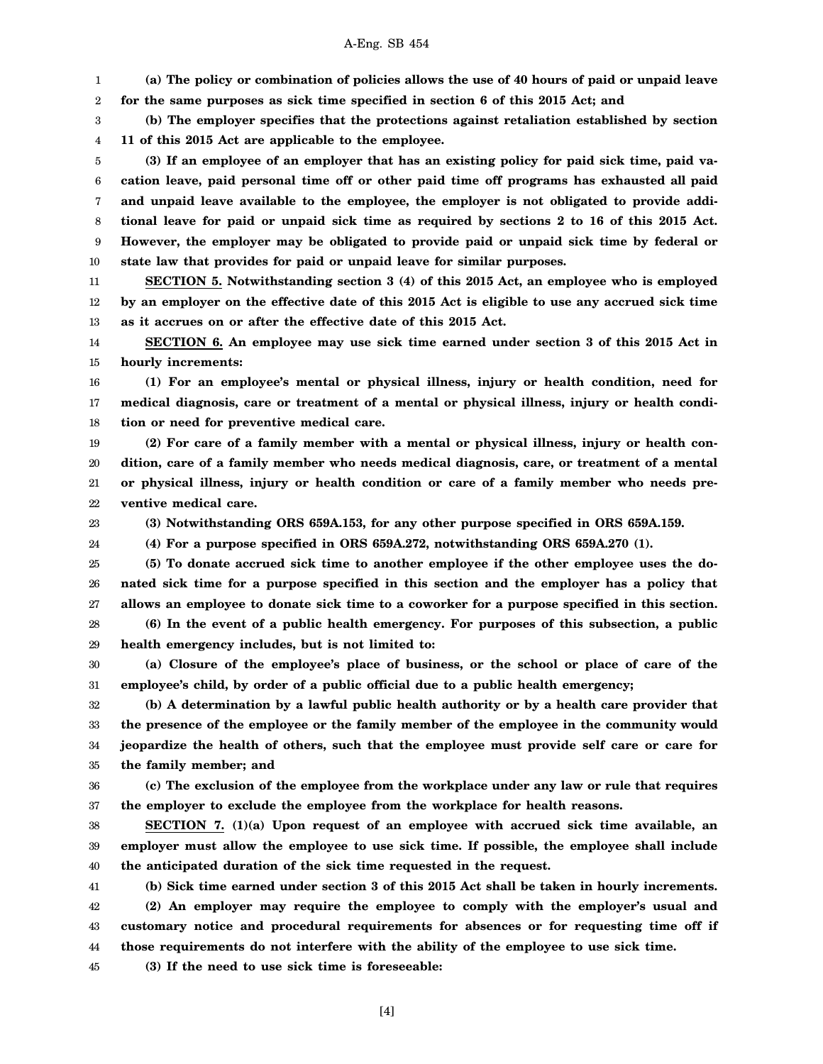## A-Eng. SB 454

1 **(a) The policy or combination of policies allows the use of 40 hours of paid or unpaid leave**

2 **for the same purposes as sick time specified in section 6 of this 2015 Act; and**

3 4 **(b) The employer specifies that the protections against retaliation established by section 11 of this 2015 Act are applicable to the employee.**

5 6 7 8 9 10 **(3) If an employee of an employer that has an existing policy for paid sick time, paid vacation leave, paid personal time off or other paid time off programs has exhausted all paid and unpaid leave available to the employee, the employer is not obligated to provide additional leave for paid or unpaid sick time as required by sections 2 to 16 of this 2015 Act. However, the employer may be obligated to provide paid or unpaid sick time by federal or state law that provides for paid or unpaid leave for similar purposes.**

11 12 13 **SECTION 5. Notwithstanding section 3 (4) of this 2015 Act, an employee who is employed by an employer on the effective date of this 2015 Act is eligible to use any accrued sick time as it accrues on or after the effective date of this 2015 Act.**

14 15 **SECTION 6. An employee may use sick time earned under section 3 of this 2015 Act in hourly increments:**

16 17 18 **(1) For an employee's mental or physical illness, injury or health condition, need for medical diagnosis, care or treatment of a mental or physical illness, injury or health condition or need for preventive medical care.**

19 20 21 22 **(2) For care of a family member with a mental or physical illness, injury or health condition, care of a family member who needs medical diagnosis, care, or treatment of a mental or physical illness, injury or health condition or care of a family member who needs preventive medical care.**

23 24 **(3) Notwithstanding ORS 659A.153, for any other purpose specified in ORS 659A.159.**

**(4) For a purpose specified in ORS 659A.272, notwithstanding ORS 659A.270 (1).**

25 26 27 28 **(5) To donate accrued sick time to another employee if the other employee uses the donated sick time for a purpose specified in this section and the employer has a policy that allows an employee to donate sick time to a coworker for a purpose specified in this section. (6) In the event of a public health emergency. For purposes of this subsection, a public**

29 **health emergency includes, but is not limited to:**

30 31 **(a) Closure of the employee's place of business, or the school or place of care of the employee's child, by order of a public official due to a public health emergency;**

32 33 34 35 **(b) A determination by a lawful public health authority or by a health care provider that the presence of the employee or the family member of the employee in the community would jeopardize the health of others, such that the employee must provide self care or care for the family member; and**

36 **(c) The exclusion of the employee from the workplace under any law or rule that requires**

37 **the employer to exclude the employee from the workplace for health reasons.**

38 39 40 **SECTION 7. (1)(a) Upon request of an employee with accrued sick time available, an employer must allow the employee to use sick time. If possible, the employee shall include the anticipated duration of the sick time requested in the request.**

41 42 43 44 **(b) Sick time earned under section 3 of this 2015 Act shall be taken in hourly increments. (2) An employer may require the employee to comply with the employer's usual and customary notice and procedural requirements for absences or for requesting time off if those requirements do not interfere with the ability of the employee to use sick time.**

45 **(3) If the need to use sick time is foreseeable:**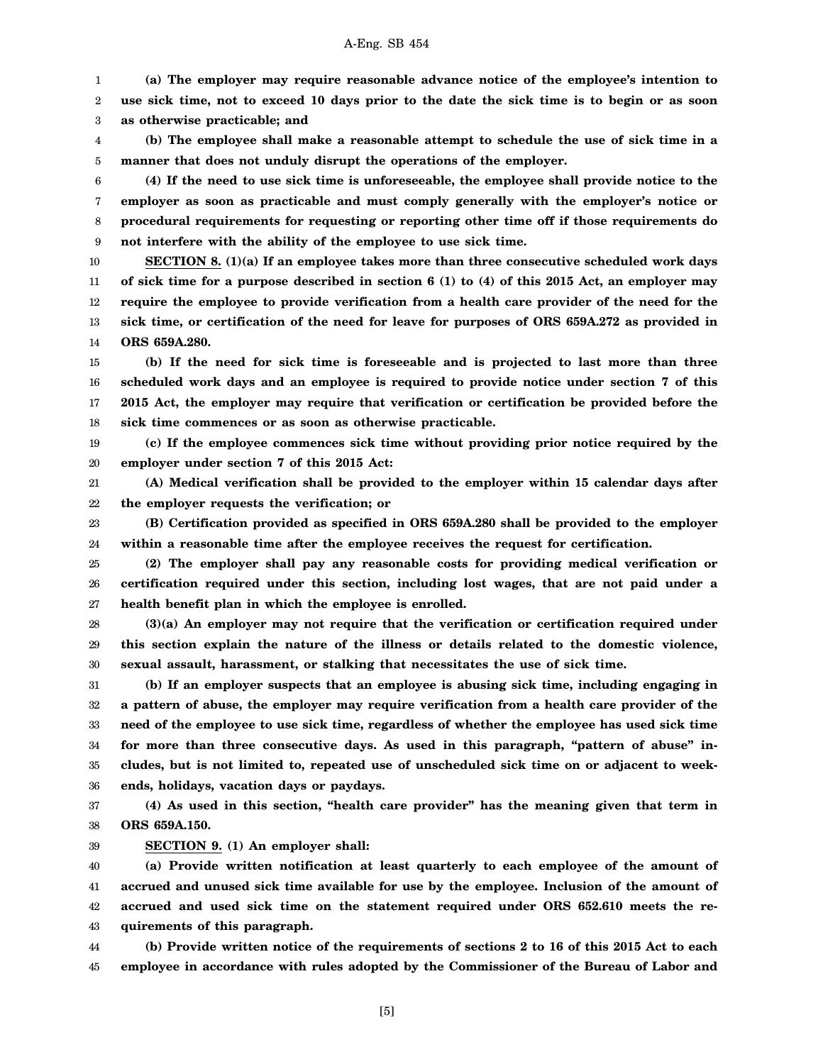1 2 3 **(a) The employer may require reasonable advance notice of the employee's intention to use sick time, not to exceed 10 days prior to the date the sick time is to begin or as soon as otherwise practicable; and**

4 5 **(b) The employee shall make a reasonable attempt to schedule the use of sick time in a manner that does not unduly disrupt the operations of the employer.**

6 7 8 9 **(4) If the need to use sick time is unforeseeable, the employee shall provide notice to the employer as soon as practicable and must comply generally with the employer's notice or procedural requirements for requesting or reporting other time off if those requirements do not interfere with the ability of the employee to use sick time.**

10 11 12 13 14 **SECTION 8. (1)(a) If an employee takes more than three consecutive scheduled work days of sick time for a purpose described in section 6 (1) to (4) of this 2015 Act, an employer may require the employee to provide verification from a health care provider of the need for the sick time, or certification of the need for leave for purposes of ORS 659A.272 as provided in ORS 659A.280.**

15 16 17 18 **(b) If the need for sick time is foreseeable and is projected to last more than three scheduled work days and an employee is required to provide notice under section 7 of this 2015 Act, the employer may require that verification or certification be provided before the sick time commences or as soon as otherwise practicable.**

19 20 **(c) If the employee commences sick time without providing prior notice required by the employer under section 7 of this 2015 Act:**

21 22 **(A) Medical verification shall be provided to the employer within 15 calendar days after the employer requests the verification; or**

23 24 **(B) Certification provided as specified in ORS 659A.280 shall be provided to the employer within a reasonable time after the employee receives the request for certification.**

25 26 27 **(2) The employer shall pay any reasonable costs for providing medical verification or certification required under this section, including lost wages, that are not paid under a health benefit plan in which the employee is enrolled.**

28 29 30 **(3)(a) An employer may not require that the verification or certification required under this section explain the nature of the illness or details related to the domestic violence, sexual assault, harassment, or stalking that necessitates the use of sick time.**

31 32 33 34 35 36 **(b) If an employer suspects that an employee is abusing sick time, including engaging in a pattern of abuse, the employer may require verification from a health care provider of the need of the employee to use sick time, regardless of whether the employee has used sick time for more than three consecutive days. As used in this paragraph, "pattern of abuse" includes, but is not limited to, repeated use of unscheduled sick time on or adjacent to weekends, holidays, vacation days or paydays.**

37 38 **(4) As used in this section, "health care provider" has the meaning given that term in ORS 659A.150.**

39 **SECTION 9. (1) An employer shall:**

40 41 42 43 **(a) Provide written notification at least quarterly to each employee of the amount of accrued and unused sick time available for use by the employee. Inclusion of the amount of accrued and used sick time on the statement required under ORS 652.610 meets the requirements of this paragraph.**

44 45 **(b) Provide written notice of the requirements of sections 2 to 16 of this 2015 Act to each employee in accordance with rules adopted by the Commissioner of the Bureau of Labor and**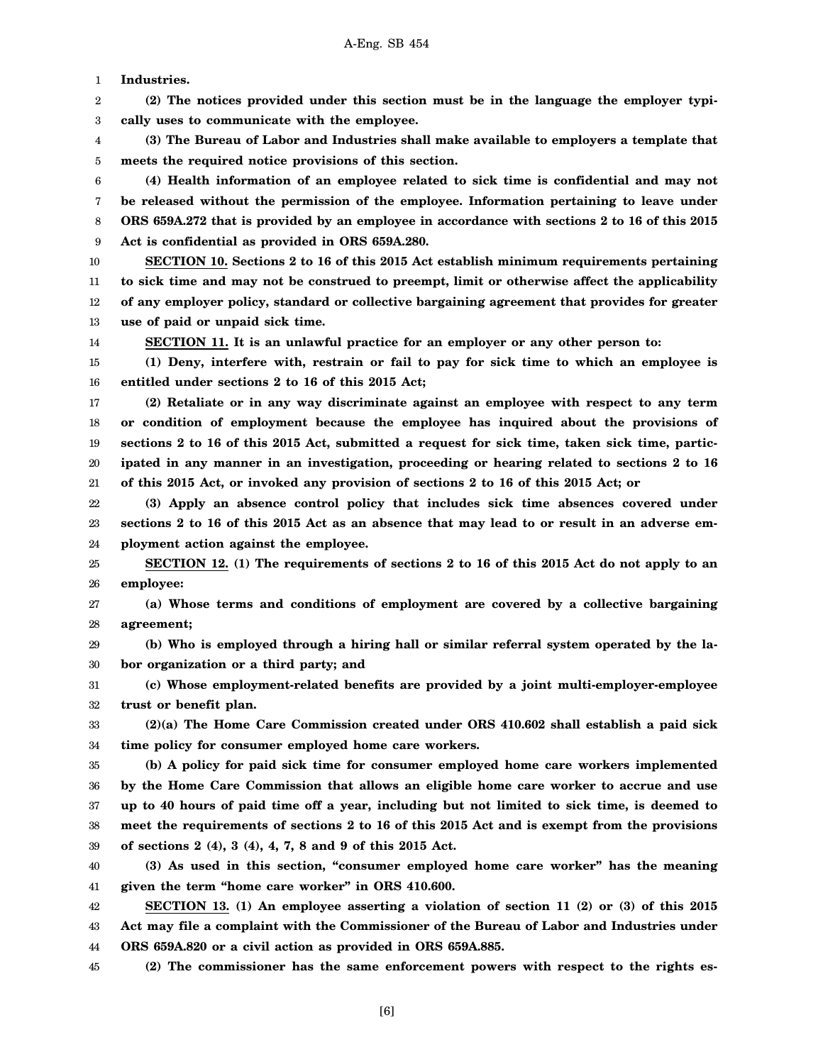1 **Industries.**

2 3 **(2) The notices provided under this section must be in the language the employer typically uses to communicate with the employee.**

4 5 **(3) The Bureau of Labor and Industries shall make available to employers a template that meets the required notice provisions of this section.**

6 7 8 9 **(4) Health information of an employee related to sick time is confidential and may not be released without the permission of the employee. Information pertaining to leave under ORS 659A.272 that is provided by an employee in accordance with sections 2 to 16 of this 2015 Act is confidential as provided in ORS 659A.280.**

10 11 12 13 **SECTION 10. Sections 2 to 16 of this 2015 Act establish minimum requirements pertaining to sick time and may not be construed to preempt, limit or otherwise affect the applicability of any employer policy, standard or collective bargaining agreement that provides for greater use of paid or unpaid sick time.**

14

**SECTION 11. It is an unlawful practice for an employer or any other person to:**

15 16 **(1) Deny, interfere with, restrain or fail to pay for sick time to which an employee is entitled under sections 2 to 16 of this 2015 Act;**

17 18 19 20 21 **(2) Retaliate or in any way discriminate against an employee with respect to any term or condition of employment because the employee has inquired about the provisions of sections 2 to 16 of this 2015 Act, submitted a request for sick time, taken sick time, participated in any manner in an investigation, proceeding or hearing related to sections 2 to 16 of this 2015 Act, or invoked any provision of sections 2 to 16 of this 2015 Act; or**

22 23 24 **(3) Apply an absence control policy that includes sick time absences covered under sections 2 to 16 of this 2015 Act as an absence that may lead to or result in an adverse employment action against the employee.**

25 26 **SECTION 12. (1) The requirements of sections 2 to 16 of this 2015 Act do not apply to an employee:**

27 28 **(a) Whose terms and conditions of employment are covered by a collective bargaining agreement;**

29 30 **(b) Who is employed through a hiring hall or similar referral system operated by the labor organization or a third party; and**

31 32 **(c) Whose employment-related benefits are provided by a joint multi-employer-employee trust or benefit plan.**

33 34 **(2)(a) The Home Care Commission created under ORS 410.602 shall establish a paid sick time policy for consumer employed home care workers.**

35 36 37 38 39 **(b) A policy for paid sick time for consumer employed home care workers implemented by the Home Care Commission that allows an eligible home care worker to accrue and use up to 40 hours of paid time off a year, including but not limited to sick time, is deemed to meet the requirements of sections 2 to 16 of this 2015 Act and is exempt from the provisions of sections 2 (4), 3 (4), 4, 7, 8 and 9 of this 2015 Act.**

40 41 **(3) As used in this section, "consumer employed home care worker" has the meaning given the term "home care worker" in ORS 410.600.**

42 43 44 **SECTION 13. (1) An employee asserting a violation of section 11 (2) or (3) of this 2015 Act may file a complaint with the Commissioner of the Bureau of Labor and Industries under ORS 659A.820 or a civil action as provided in ORS 659A.885.**

45 **(2) The commissioner has the same enforcement powers with respect to the rights es-**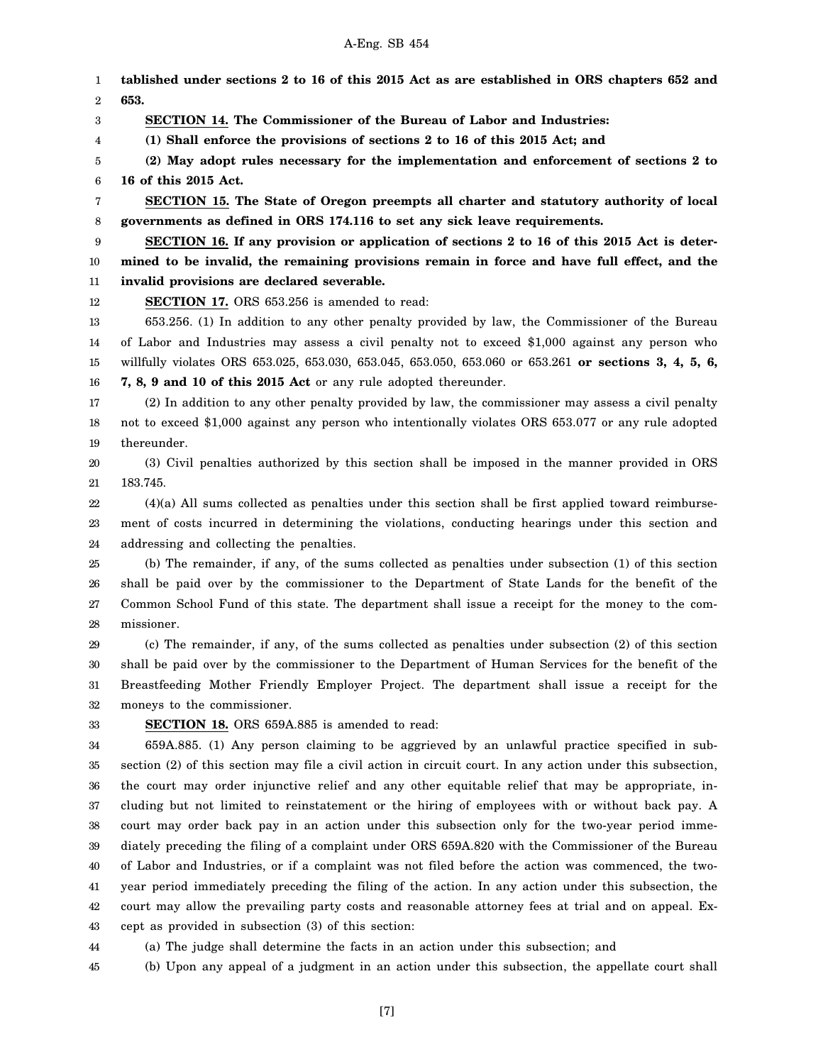1 2 3 4 5 6 7 8 9 10 11 12 13 14 15 16 17 18 19 20 21 22 23 24 25 26 27 28 **tablished under sections 2 to 16 of this 2015 Act as are established in ORS chapters 652 and 653. SECTION 14. The Commissioner of the Bureau of Labor and Industries: (1) Shall enforce the provisions of sections 2 to 16 of this 2015 Act; and (2) May adopt rules necessary for the implementation and enforcement of sections 2 to 16 of this 2015 Act. SECTION 15. The State of Oregon preempts all charter and statutory authority of local governments as defined in ORS 174.116 to set any sick leave requirements. SECTION 16. If any provision or application of sections 2 to 16 of this 2015 Act is determined to be invalid, the remaining provisions remain in force and have full effect, and the invalid provisions are declared severable. SECTION 17.** ORS 653.256 is amended to read: 653.256. (1) In addition to any other penalty provided by law, the Commissioner of the Bureau of Labor and Industries may assess a civil penalty not to exceed \$1,000 against any person who willfully violates ORS 653.025, 653.030, 653.045, 653.050, 653.060 or 653.261 **or sections 3, 4, 5, 6, 7, 8, 9 and 10 of this 2015 Act** or any rule adopted thereunder. (2) In addition to any other penalty provided by law, the commissioner may assess a civil penalty not to exceed \$1,000 against any person who intentionally violates ORS 653.077 or any rule adopted thereunder. (3) Civil penalties authorized by this section shall be imposed in the manner provided in ORS 183.745. (4)(a) All sums collected as penalties under this section shall be first applied toward reimbursement of costs incurred in determining the violations, conducting hearings under this section and addressing and collecting the penalties. (b) The remainder, if any, of the sums collected as penalties under subsection (1) of this section shall be paid over by the commissioner to the Department of State Lands for the benefit of the Common School Fund of this state. The department shall issue a receipt for the money to the commissioner.

29 30 31 32 (c) The remainder, if any, of the sums collected as penalties under subsection (2) of this section shall be paid over by the commissioner to the Department of Human Services for the benefit of the Breastfeeding Mother Friendly Employer Project. The department shall issue a receipt for the moneys to the commissioner.

33

44

**SECTION 18.** ORS 659A.885 is amended to read:

34 35 36 37 38 39 40 41 42 43 659A.885. (1) Any person claiming to be aggrieved by an unlawful practice specified in subsection (2) of this section may file a civil action in circuit court. In any action under this subsection, the court may order injunctive relief and any other equitable relief that may be appropriate, including but not limited to reinstatement or the hiring of employees with or without back pay. A court may order back pay in an action under this subsection only for the two-year period immediately preceding the filing of a complaint under ORS 659A.820 with the Commissioner of the Bureau of Labor and Industries, or if a complaint was not filed before the action was commenced, the twoyear period immediately preceding the filing of the action. In any action under this subsection, the court may allow the prevailing party costs and reasonable attorney fees at trial and on appeal. Except as provided in subsection (3) of this section:

(a) The judge shall determine the facts in an action under this subsection; and

45 (b) Upon any appeal of a judgment in an action under this subsection, the appellate court shall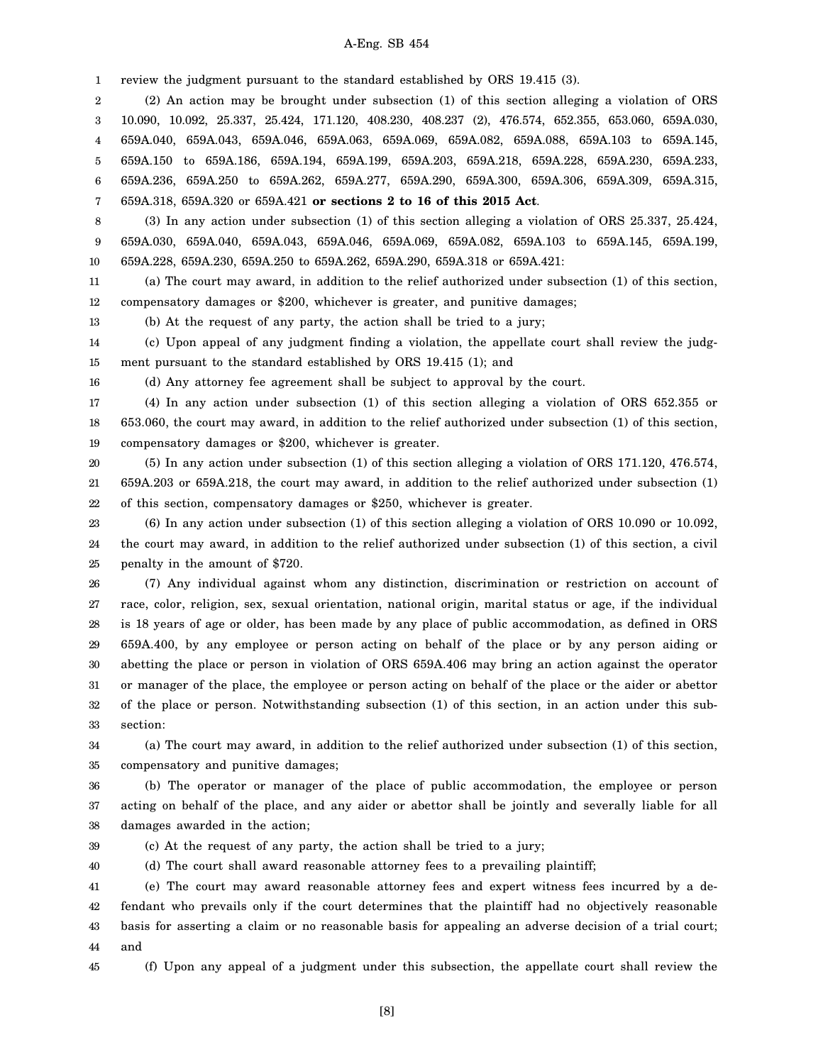#### A-Eng. SB 454

1 review the judgment pursuant to the standard established by ORS 19.415 (3).

2 3 4 5 6 7 (2) An action may be brought under subsection (1) of this section alleging a violation of ORS 10.090, 10.092, 25.337, 25.424, 171.120, 408.230, 408.237 (2), 476.574, 652.355, 653.060, 659A.030, 659A.040, 659A.043, 659A.046, 659A.063, 659A.069, 659A.082, 659A.088, 659A.103 to 659A.145, 659A.150 to 659A.186, 659A.194, 659A.199, 659A.203, 659A.218, 659A.228, 659A.230, 659A.233, 659A.236, 659A.250 to 659A.262, 659A.277, 659A.290, 659A.300, 659A.306, 659A.309, 659A.315, 659A.318, 659A.320 or 659A.421 **or sections 2 to 16 of this 2015 Act**.

8 9 10 (3) In any action under subsection (1) of this section alleging a violation of ORS 25.337, 25.424, 659A.030, 659A.040, 659A.043, 659A.046, 659A.069, 659A.082, 659A.103 to 659A.145, 659A.199, 659A.228, 659A.230, 659A.250 to 659A.262, 659A.290, 659A.318 or 659A.421:

11 12 (a) The court may award, in addition to the relief authorized under subsection (1) of this section, compensatory damages or \$200, whichever is greater, and punitive damages;

13 (b) At the request of any party, the action shall be tried to a jury;

14 15 (c) Upon appeal of any judgment finding a violation, the appellate court shall review the judgment pursuant to the standard established by ORS 19.415 (1); and

16

(d) Any attorney fee agreement shall be subject to approval by the court.

17 18 19 (4) In any action under subsection (1) of this section alleging a violation of ORS 652.355 or 653.060, the court may award, in addition to the relief authorized under subsection (1) of this section, compensatory damages or \$200, whichever is greater.

20 21 22 (5) In any action under subsection (1) of this section alleging a violation of ORS 171.120, 476.574, 659A.203 or 659A.218, the court may award, in addition to the relief authorized under subsection (1) of this section, compensatory damages or \$250, whichever is greater.

23 24 25 (6) In any action under subsection (1) of this section alleging a violation of ORS 10.090 or 10.092, the court may award, in addition to the relief authorized under subsection (1) of this section, a civil penalty in the amount of \$720.

26 27 28 29 30 31 32 33 (7) Any individual against whom any distinction, discrimination or restriction on account of race, color, religion, sex, sexual orientation, national origin, marital status or age, if the individual is 18 years of age or older, has been made by any place of public accommodation, as defined in ORS 659A.400, by any employee or person acting on behalf of the place or by any person aiding or abetting the place or person in violation of ORS 659A.406 may bring an action against the operator or manager of the place, the employee or person acting on behalf of the place or the aider or abettor of the place or person. Notwithstanding subsection (1) of this section, in an action under this subsection:

34 35 (a) The court may award, in addition to the relief authorized under subsection (1) of this section, compensatory and punitive damages;

36 37 38 (b) The operator or manager of the place of public accommodation, the employee or person acting on behalf of the place, and any aider or abettor shall be jointly and severally liable for all damages awarded in the action;

39

(c) At the request of any party, the action shall be tried to a jury;

40 (d) The court shall award reasonable attorney fees to a prevailing plaintiff;

41 42 43 44 (e) The court may award reasonable attorney fees and expert witness fees incurred by a defendant who prevails only if the court determines that the plaintiff had no objectively reasonable basis for asserting a claim or no reasonable basis for appealing an adverse decision of a trial court; and

45 (f) Upon any appeal of a judgment under this subsection, the appellate court shall review the

[8]